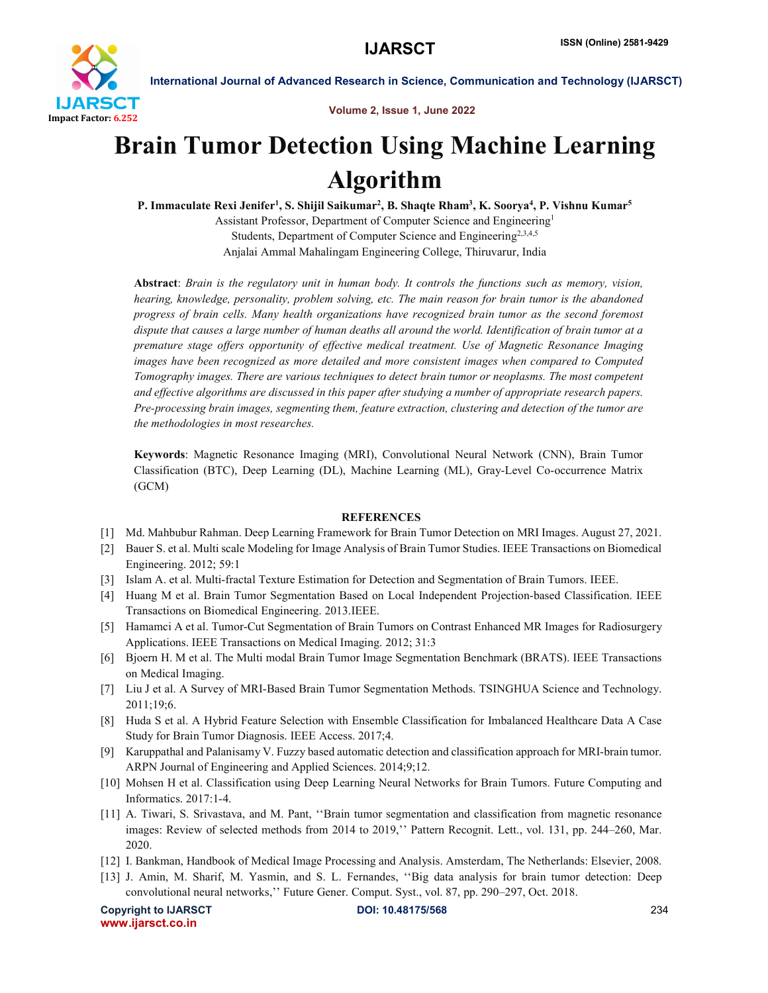

International Journal of Advanced Research in Science, Communication and Technology (IJARSCT)

Volume 2, Issue 1, June 2022

## Brain Tumor Detection Using Machine Learning Algorithm

P. Immaculate Rexi Jenifer<sup>1</sup>, S. Shijil Saikumar<sup>2</sup>, B. Shaqte Rham<sup>3</sup>, K. Soorya<sup>4</sup>, P. Vishnu Kumar<sup>s</sup> Assistant Professor, Department of Computer Science and Engineering1 Students, Department of Computer Science and Engineering<sup>2,3,4,5</sup> Anjalai Ammal Mahalingam Engineering College, Thiruvarur, India

Abstract: *Brain is the regulatory unit in human body. It controls the functions such as memory, vision, hearing, knowledge, personality, problem solving, etc. The main reason for brain tumor is the abandoned progress of brain cells. Many health organizations have recognized brain tumor as the second foremost dispute that causes a large number of human deaths all around the world. Identification of brain tumor at a premature stage offers opportunity of effective medical treatment. Use of Magnetic Resonance Imaging images have been recognized as more detailed and more consistent images when compared to Computed Tomography images. There are various techniques to detect brain tumor or neoplasms. The most competent and effective algorithms are discussed in this paper after studying a number of appropriate research papers. Pre-processing brain images, segmenting them, feature extraction, clustering and detection of the tumor are the methodologies in most researches.*

Keywords: Magnetic Resonance Imaging (MRI), Convolutional Neural Network (CNN), Brain Tumor Classification (BTC), Deep Learning (DL), Machine Learning (ML), Gray-Level Co-occurrence Matrix (GCM)

## **REFERENCES**

- [1] Md. Mahbubur Rahman. Deep Learning Framework for Brain Tumor Detection on MRI Images. August 27, 2021.
- [2] Bauer S. et al. Multi scale Modeling for Image Analysis of Brain Tumor Studies. IEEE Transactions on Biomedical Engineering. 2012; 59:1
- [3] Islam A. et al. Multi-fractal Texture Estimation for Detection and Segmentation of Brain Tumors. IEEE.
- [4] Huang M et al. Brain Tumor Segmentation Based on Local Independent Projection-based Classification. IEEE Transactions on Biomedical Engineering. 2013.IEEE.
- [5] Hamamci A et al. Tumor-Cut Segmentation of Brain Tumors on Contrast Enhanced MR Images for Radiosurgery Applications. IEEE Transactions on Medical Imaging. 2012; 31:3
- [6] Bjoern H. M et al. The Multi modal Brain Tumor Image Segmentation Benchmark (BRATS). IEEE Transactions on Medical Imaging.
- [7] Liu J et al. A Survey of MRI-Based Brain Tumor Segmentation Methods. TSINGHUA Science and Technology. 2011;19;6.
- [8] Huda S et al. A Hybrid Feature Selection with Ensemble Classification for Imbalanced Healthcare Data A Case Study for Brain Tumor Diagnosis. IEEE Access. 2017;4.
- [9] Karuppathal and Palanisamy V. Fuzzy based automatic detection and classification approach for MRI-brain tumor. ARPN Journal of Engineering and Applied Sciences. 2014;9;12.
- [10] Mohsen H et al. Classification using Deep Learning Neural Networks for Brain Tumors. Future Computing and Informatics. 2017:1-4.
- [11] A. Tiwari, S. Srivastava, and M. Pant, ''Brain tumor segmentation and classification from magnetic resonance images: Review of selected methods from 2014 to 2019,'' Pattern Recognit. Lett., vol. 131, pp. 244–260, Mar. 2020.
- [12] I. Bankman, Handbook of Medical Image Processing and Analysis. Amsterdam, The Netherlands: Elsevier, 2008.
- [13] J. Amin, M. Sharif, M. Yasmin, and S. L. Fernandes, ''Big data analysis for brain tumor detection: Deep convolutional neural networks,'' Future Gener. Comput. Syst., vol. 87, pp. 290–297, Oct. 2018.

Copyright to IJARSCT **DOI: 10.48175/568** 234 www.ijarsct.co.in